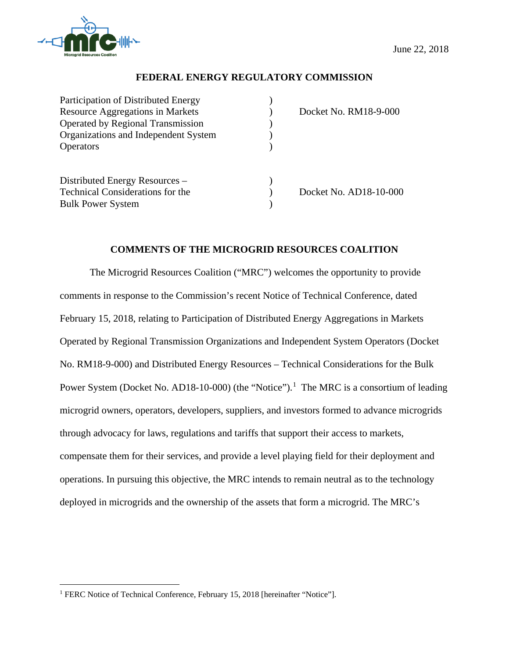

 $\overline{a}$ 

# **FEDERAL ENERGY REGULATORY COMMISSION**

| Participation of Distributed Energy      |                        |
|------------------------------------------|------------------------|
| <b>Resource Aggregations in Markets</b>  | Docket No. RM18-9-000  |
| <b>Operated by Regional Transmission</b> |                        |
| Organizations and Independent System     |                        |
| <b>Operators</b>                         |                        |
| Distributed Energy Resources –           |                        |
| <b>Technical Considerations for the</b>  | Docket No. AD18-10-000 |
| <b>Bulk Power System</b>                 |                        |
|                                          |                        |

## **COMMENTS OF THE MICROGRID RESOURCES COALITION**

The Microgrid Resources Coalition ("MRC") welcomes the opportunity to provide comments in response to the Commission's recent Notice of Technical Conference, dated February 15, 2018, relating to Participation of Distributed Energy Aggregations in Markets Operated by Regional Transmission Organizations and Independent System Operators (Docket No. RM18-9-000) and Distributed Energy Resources – Technical Considerations for the Bulk Power System (Docket No. AD18-10-000) (the "Notice").<sup>1</sup> The MRC is a consortium of leading microgrid owners, operators, developers, suppliers, and investors formed to advance microgrids through advocacy for laws, regulations and tariffs that support their access to markets, compensate them for their services, and provide a level playing field for their deployment and operations. In pursuing this objective, the MRC intends to remain neutral as to the technology deployed in microgrids and the ownership of the assets that form a microgrid. The MRC's

<sup>&</sup>lt;sup>1</sup> FERC Notice of Technical Conference, February 15, 2018 [hereinafter "Notice"].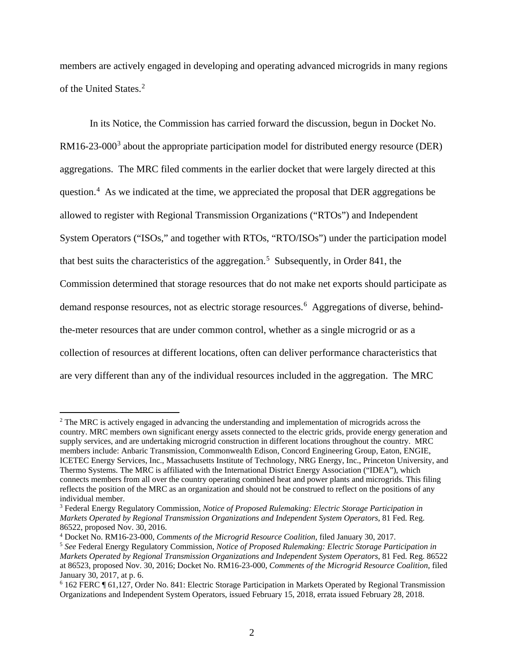members are actively engaged in developing and operating advanced microgrids in many regions of the United States.<sup>2</sup>

In its Notice, the Commission has carried forward the discussion, begun in Docket No.  $RM16-23-000<sup>3</sup>$  about the appropriate participation model for distributed energy resource (DER) aggregations. The MRC filed comments in the earlier docket that were largely directed at this question.<sup>4</sup> As we indicated at the time, we appreciated the proposal that DER aggregations be allowed to register with Regional Transmission Organizations ("RTOs") and Independent System Operators ("ISOs," and together with RTOs, "RTO/ISOs") under the participation model that best suits the characteristics of the aggregation.<sup>5</sup> Subsequently, in Order 841, the Commission determined that storage resources that do not make net exports should participate as demand response resources, not as electric storage resources.<sup>6</sup> Aggregations of diverse, behindthe-meter resources that are under common control, whether as a single microgrid or as a collection of resources at different locations, often can deliver performance characteristics that are very different than any of the individual resources included in the aggregation. The MRC

<sup>&</sup>lt;sup>2</sup> The MRC is actively engaged in advancing the understanding and implementation of microgrids across the country. MRC members own significant energy assets connected to the electric grids, provide energy generation and supply services, and are undertaking microgrid construction in different locations throughout the country. MRC members include: Anbaric Transmission, Commonwealth Edison, Concord Engineering Group, Eaton, ENGIE, ICETEC Energy Services, Inc., Massachusetts Institute of Technology, NRG Energy, Inc., Princeton University, and Thermo Systems. The MRC is affiliated with the International District Energy Association ("IDEA"), which connects members from all over the country operating combined heat and power plants and microgrids. This filing reflects the position of the MRC as an organization and should not be construed to reflect on the positions of any individual member.

<sup>3</sup> Federal Energy Regulatory Commission, *Notice of Proposed Rulemaking: Electric Storage Participation in Markets Operated by Regional Transmission Organizations and Independent System Operators*, 81 Fed. Reg. 86522, proposed Nov. 30, 2016.

<sup>4</sup> Docket No. RM16-23-000, *Comments of the Microgrid Resource Coalition*, filed January 30, 2017.

<sup>5</sup> *See* Federal Energy Regulatory Commission, *Notice of Proposed Rulemaking: Electric Storage Participation in Markets Operated by Regional Transmission Organizations and Independent System Operators*, 81 Fed. Reg. 86522 at 86523, proposed Nov. 30, 2016; Docket No. RM16-23-000, *Comments of the Microgrid Resource Coalition*, filed January 30, 2017, at p. 6.

<sup>6</sup> 162 FERC ¶ 61,127, Order No. 841: Electric Storage Participation in Markets Operated by Regional Transmission Organizations and Independent System Operators, issued February 15, 2018, errata issued February 28, 2018.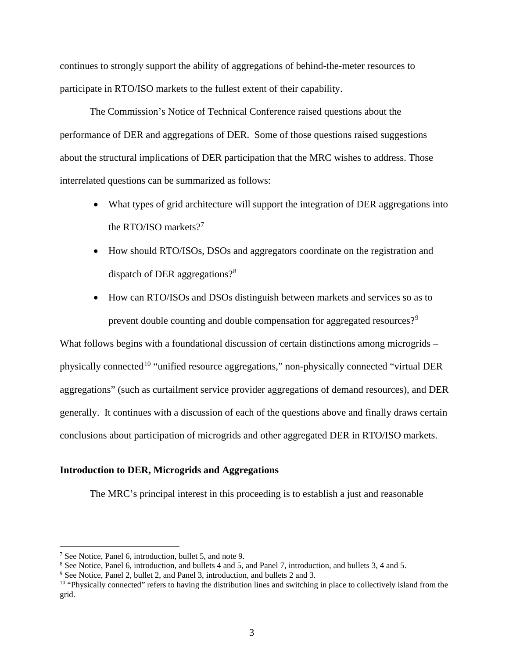continues to strongly support the ability of aggregations of behind-the-meter resources to participate in RTO/ISO markets to the fullest extent of their capability.

The Commission's Notice of Technical Conference raised questions about the performance of DER and aggregations of DER. Some of those questions raised suggestions about the structural implications of DER participation that the MRC wishes to address. Those interrelated questions can be summarized as follows:

- What types of grid architecture will support the integration of DER aggregations into the RTO/ISO markets?<sup>7</sup>
- How should RTO/ISOs, DSOs and aggregators coordinate on the registration and dispatch of DER aggregations?<sup>8</sup>
- How can RTO/ISOs and DSOs distinguish between markets and services so as to prevent double counting and double compensation for aggregated resources?<sup>9</sup>

What follows begins with a foundational discussion of certain distinctions among microgrids – physically connected<sup>10</sup> "unified resource aggregations," non-physically connected "virtual DER aggregations" (such as curtailment service provider aggregations of demand resources), and DER generally. It continues with a discussion of each of the questions above and finally draws certain conclusions about participation of microgrids and other aggregated DER in RTO/ISO markets.

### **Introduction to DER, Microgrids and Aggregations**

The MRC's principal interest in this proceeding is to establish a just and reasonable

<sup>7</sup> See Notice, Panel 6, introduction, bullet 5, and note 9.

<sup>8</sup> See Notice, Panel 6, introduction, and bullets 4 and 5, and Panel 7, introduction, and bullets 3, 4 and 5.

<sup>9</sup> See Notice, Panel 2, bullet 2, and Panel 3, introduction, and bullets 2 and 3.

 $10$  "Physically connected" refers to having the distribution lines and switching in place to collectively island from the grid.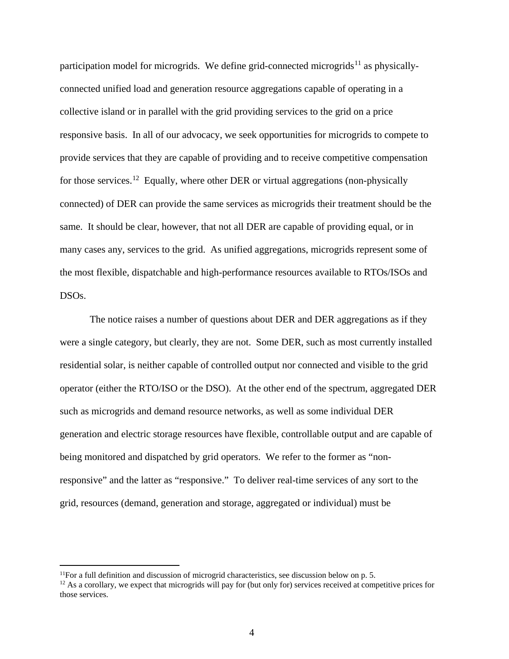participation model for microgrids. We define grid-connected microgrids<sup>11</sup> as physicallyconnected unified load and generation resource aggregations capable of operating in a collective island or in parallel with the grid providing services to the grid on a price responsive basis. In all of our advocacy, we seek opportunities for microgrids to compete to provide services that they are capable of providing and to receive competitive compensation for those services.<sup>12</sup> Equally, where other DER or virtual aggregations (non-physically connected) of DER can provide the same services as microgrids their treatment should be the same. It should be clear, however, that not all DER are capable of providing equal, or in many cases any, services to the grid. As unified aggregations, microgrids represent some of the most flexible, dispatchable and high-performance resources available to RTOs/ISOs and DSOs.

The notice raises a number of questions about DER and DER aggregations as if they were a single category, but clearly, they are not. Some DER, such as most currently installed residential solar, is neither capable of controlled output nor connected and visible to the grid operator (either the RTO/ISO or the DSO). At the other end of the spectrum, aggregated DER such as microgrids and demand resource networks, as well as some individual DER generation and electric storage resources have flexible, controllable output and are capable of being monitored and dispatched by grid operators. We refer to the former as "nonresponsive" and the latter as "responsive." To deliver real-time services of any sort to the grid, resources (demand, generation and storage, aggregated or individual) must be

 $<sup>11</sup>$ For a full definition and discussion of microgrid characteristics, see discussion below on p. 5.</sup>

 $12$  As a corollary, we expect that microgrids will pay for (but only for) services received at competitive prices for those services.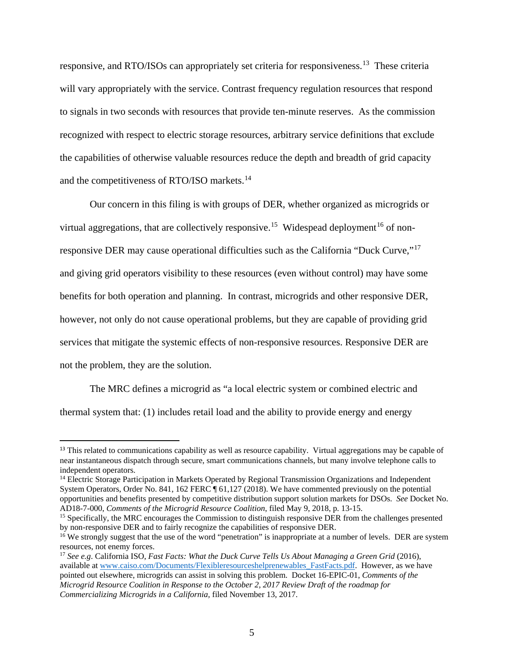responsive, and RTO/ISOs can appropriately set criteria for responsiveness.13 These criteria will vary appropriately with the service. Contrast frequency regulation resources that respond to signals in two seconds with resources that provide ten-minute reserves. As the commission recognized with respect to electric storage resources, arbitrary service definitions that exclude the capabilities of otherwise valuable resources reduce the depth and breadth of grid capacity and the competitiveness of RTO/ISO markets.<sup>14</sup>

Our concern in this filing is with groups of DER, whether organized as microgrids or virtual aggregations, that are collectively responsive.<sup>15</sup> Widespead deployment<sup>16</sup> of nonresponsive DER may cause operational difficulties such as the California "Duck Curve,"<sup>17</sup> and giving grid operators visibility to these resources (even without control) may have some benefits for both operation and planning. In contrast, microgrids and other responsive DER, however, not only do not cause operational problems, but they are capable of providing grid services that mitigate the systemic effects of non-responsive resources. Responsive DER are not the problem, they are the solution.

The MRC defines a microgrid as "a local electric system or combined electric and thermal system that: (1) includes retail load and the ability to provide energy and energy

<sup>&</sup>lt;sup>13</sup> This related to communications capability as well as resource capability. Virtual aggregations may be capable of near instantaneous dispatch through secure, smart communications channels, but many involve telephone calls to independent operators.

<sup>&</sup>lt;sup>14</sup> Electric Storage Participation in Markets Operated by Regional Transmission Organizations and Independent System Operators, Order No. 841, 162 FERC ¶ 61,127 (2018). We have commented previously on the potential opportunities and benefits presented by competitive distribution support solution markets for DSOs. *See* Docket No. AD18-7-000, *Comments of the Microgrid Resource Coalition*, filed May 9, 2018, p. 13-15.

<sup>&</sup>lt;sup>15</sup> Specifically, the MRC encourages the Commission to distinguish responsive DER from the challenges presented by non-responsive DER and to fairly recognize the capabilities of responsive DER.

 $\frac{16}{16}$  We strongly suggest that the use of the word "penetration" is inappropriate at a number of levels. DER are system resources, not enemy forces.

<sup>17</sup> *See e.g*. California ISO, *Fast Facts: What the Duck Curve Tells Us About Managing a Green Grid* (2016), available at www.caiso.com/Documents/Flexibleresourceshelprenewables\_FastFacts.pdf. However, as we have pointed out elsewhere, microgrids can assist in solving this problem. Docket 16-EPIC-01, *Comments of the Microgrid Resource Coalition in Response to the October 2, 2017 Review Draft of the roadmap for Commercializing Microgrids in a California,* filed November 13, 2017.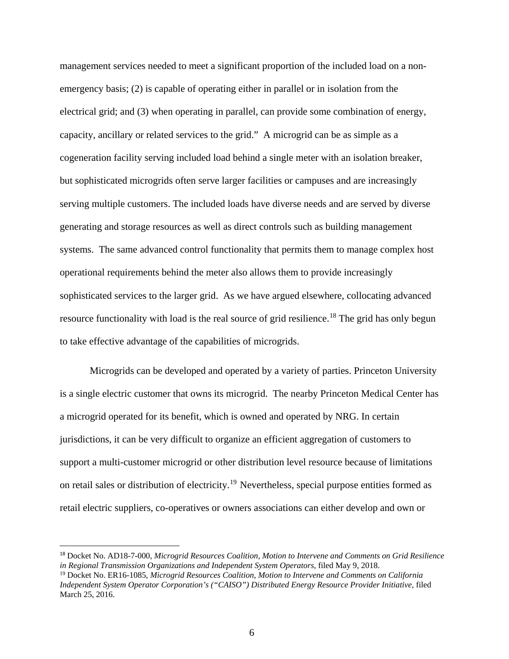management services needed to meet a significant proportion of the included load on a nonemergency basis; (2) is capable of operating either in parallel or in isolation from the electrical grid; and (3) when operating in parallel, can provide some combination of energy, capacity, ancillary or related services to the grid." A microgrid can be as simple as a cogeneration facility serving included load behind a single meter with an isolation breaker, but sophisticated microgrids often serve larger facilities or campuses and are increasingly serving multiple customers. The included loads have diverse needs and are served by diverse generating and storage resources as well as direct controls such as building management systems. The same advanced control functionality that permits them to manage complex host operational requirements behind the meter also allows them to provide increasingly sophisticated services to the larger grid. As we have argued elsewhere, collocating advanced resource functionality with load is the real source of grid resilience.<sup>18</sup> The grid has only begun to take effective advantage of the capabilities of microgrids.

Microgrids can be developed and operated by a variety of parties. Princeton University is a single electric customer that owns its microgrid. The nearby Princeton Medical Center has a microgrid operated for its benefit, which is owned and operated by NRG. In certain jurisdictions, it can be very difficult to organize an efficient aggregation of customers to support a multi-customer microgrid or other distribution level resource because of limitations on retail sales or distribution of electricity.<sup>19</sup> Nevertheless, special purpose entities formed as retail electric suppliers, co-operatives or owners associations can either develop and own or

 <sup>18</sup> Docket No. AD18-7-000, *Microgrid Resources Coalition, Motion to Intervene and Comments on Grid Resilience in Regional Transmission Organizations and Independent System Operators*, filed May 9, 2018.

<sup>19</sup> Docket No. ER16-1085, *Microgrid Resources Coalition, Motion to Intervene and Comments on California Independent System Operator Corporation's ("CAISO") Distributed Energy Resource Provider Initiative*, filed March 25, 2016.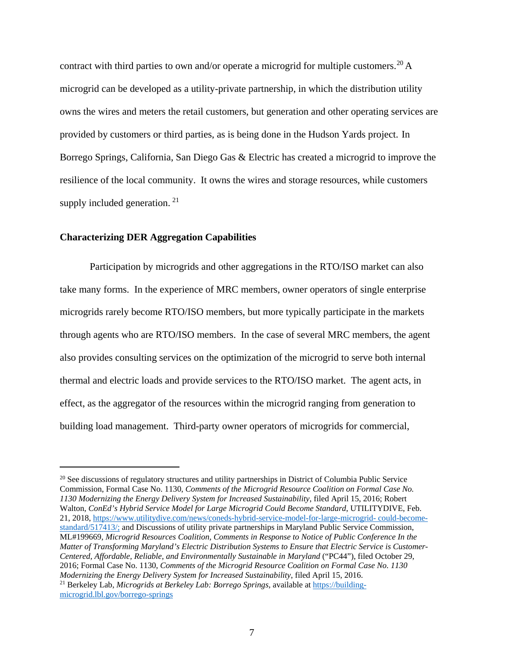contract with third parties to own and/or operate a microgrid for multiple customers.<sup>20</sup> A microgrid can be developed as a utility-private partnership, in which the distribution utility owns the wires and meters the retail customers, but generation and other operating services are provided by customers or third parties, as is being done in the Hudson Yards project. In Borrego Springs, California, San Diego Gas & Electric has created a microgrid to improve the resilience of the local community. It owns the wires and storage resources, while customers supply included generation. <sup>21</sup>

#### **Characterizing DER Aggregation Capabilities**

 $\overline{a}$ 

Participation by microgrids and other aggregations in the RTO/ISO market can also take many forms. In the experience of MRC members, owner operators of single enterprise microgrids rarely become RTO/ISO members, but more typically participate in the markets through agents who are RTO/ISO members. In the case of several MRC members, the agent also provides consulting services on the optimization of the microgrid to serve both internal thermal and electric loads and provide services to the RTO/ISO market. The agent acts, in effect, as the aggregator of the resources within the microgrid ranging from generation to building load management. Third-party owner operators of microgrids for commercial,

<sup>&</sup>lt;sup>20</sup> See discussions of regulatory structures and utility partnerships in District of Columbia Public Service Commission, Formal Case No. 1130, *Comments of the Microgrid Resource Coalition on Formal Case No. 1130 Modernizing the Energy Delivery System for Increased Sustainability*, filed April 15, 2016; Robert Walton, *ConEd's Hybrid Service Model for Large Microgrid Could Become Standard*, UTILITYDIVE, Feb. 21, 2018, https://www.utilitydive.com/news/coneds-hybrid-service-model-for-large-microgrid- could-becomestandard/517413/; and Discussions of utility private partnerships in Maryland Public Service Commission, ML#199669, *Microgrid Resources Coalition, Comments in Response to Notice of Public Conference In the Matter of Transforming Maryland's Electric Distribution Systems to Ensure that Electric Service is Customer-Centered, Affordable, Reliable, and Environmentally Sustainable in Maryland* ("PC44"), filed October 29, 2016; Formal Case No. 1130, *Comments of the Microgrid Resource Coalition on Formal Case No. 1130 Modernizing the Energy Delivery System for Increased Sustainability*, filed April 15, 2016. <sup>21</sup> Berkeley Lab, *Microgrids at Berkeley Lab: Borrego Springs*, available at https://buildingmicrogrid.lbl.gov/borrego-springs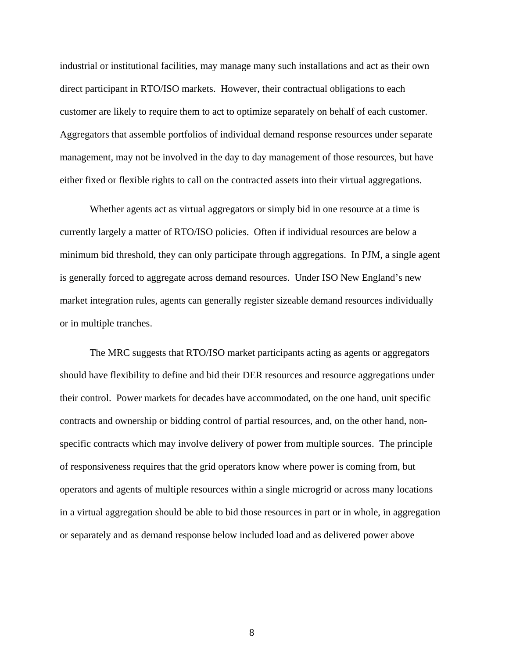industrial or institutional facilities, may manage many such installations and act as their own direct participant in RTO/ISO markets. However, their contractual obligations to each customer are likely to require them to act to optimize separately on behalf of each customer. Aggregators that assemble portfolios of individual demand response resources under separate management, may not be involved in the day to day management of those resources, but have either fixed or flexible rights to call on the contracted assets into their virtual aggregations.

Whether agents act as virtual aggregators or simply bid in one resource at a time is currently largely a matter of RTO/ISO policies. Often if individual resources are below a minimum bid threshold, they can only participate through aggregations. In PJM, a single agent is generally forced to aggregate across demand resources. Under ISO New England's new market integration rules, agents can generally register sizeable demand resources individually or in multiple tranches.

The MRC suggests that RTO/ISO market participants acting as agents or aggregators should have flexibility to define and bid their DER resources and resource aggregations under their control. Power markets for decades have accommodated, on the one hand, unit specific contracts and ownership or bidding control of partial resources, and, on the other hand, nonspecific contracts which may involve delivery of power from multiple sources. The principle of responsiveness requires that the grid operators know where power is coming from, but operators and agents of multiple resources within a single microgrid or across many locations in a virtual aggregation should be able to bid those resources in part or in whole, in aggregation or separately and as demand response below included load and as delivered power above

8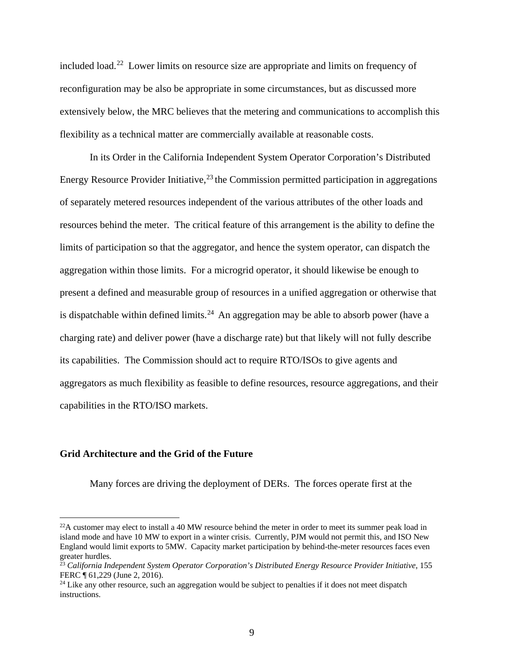included load.22 Lower limits on resource size are appropriate and limits on frequency of reconfiguration may be also be appropriate in some circumstances, but as discussed more extensively below, the MRC believes that the metering and communications to accomplish this flexibility as a technical matter are commercially available at reasonable costs.

In its Order in the California Independent System Operator Corporation's Distributed Energy Resource Provider Initiative,  $^{23}$  the Commission permitted participation in aggregations of separately metered resources independent of the various attributes of the other loads and resources behind the meter. The critical feature of this arrangement is the ability to define the limits of participation so that the aggregator, and hence the system operator, can dispatch the aggregation within those limits. For a microgrid operator, it should likewise be enough to present a defined and measurable group of resources in a unified aggregation or otherwise that is dispatchable within defined limits.<sup>24</sup> An aggregation may be able to absorb power (have a charging rate) and deliver power (have a discharge rate) but that likely will not fully describe its capabilities. The Commission should act to require RTO/ISOs to give agents and aggregators as much flexibility as feasible to define resources, resource aggregations, and their capabilities in the RTO/ISO markets.

## **Grid Architecture and the Grid of the Future**

 $\overline{a}$ 

Many forces are driving the deployment of DERs. The forces operate first at the

 $^{22}$ A customer may elect to install a 40 MW resource behind the meter in order to meet its summer peak load in island mode and have 10 MW to export in a winter crisis. Currently, PJM would not permit this, and ISO New England would limit exports to 5MW. Capacity market participation by behind-the-meter resources faces even greater hurdles.

<sup>23</sup> *California Independent System Operator Corporation's Distributed Energy Resource Provider Initiative*, 155 FERC ¶ 61,229 (June 2, 2016).

<sup>&</sup>lt;sup>24</sup> Like any other resource, such an aggregation would be subject to penalties if it does not meet dispatch instructions.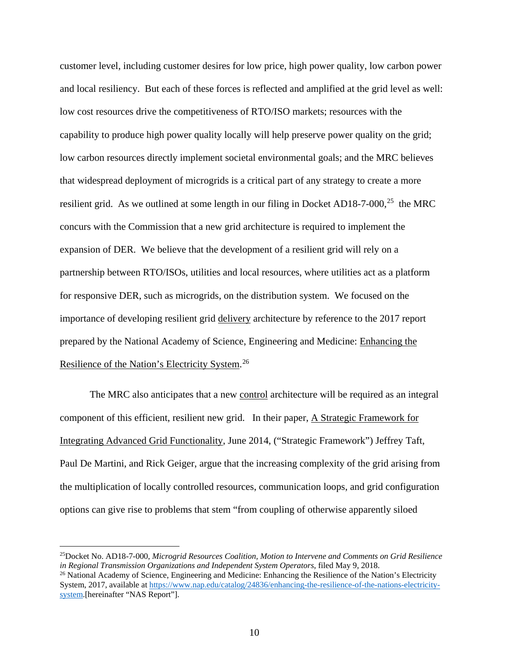customer level, including customer desires for low price, high power quality, low carbon power and local resiliency. But each of these forces is reflected and amplified at the grid level as well: low cost resources drive the competitiveness of RTO/ISO markets; resources with the capability to produce high power quality locally will help preserve power quality on the grid; low carbon resources directly implement societal environmental goals; and the MRC believes that widespread deployment of microgrids is a critical part of any strategy to create a more resilient grid. As we outlined at some length in our filing in Docket AD18-7-000,<sup>25</sup> the MRC concurs with the Commission that a new grid architecture is required to implement the expansion of DER. We believe that the development of a resilient grid will rely on a partnership between RTO/ISOs, utilities and local resources, where utilities act as a platform for responsive DER, such as microgrids, on the distribution system. We focused on the importance of developing resilient grid delivery architecture by reference to the 2017 report prepared by the National Academy of Science, Engineering and Medicine: Enhancing the Resilience of the Nation's Electricity System.<sup>26</sup>

The MRC also anticipates that a new control architecture will be required as an integral component of this efficient, resilient new grid. In their paper, A Strategic Framework for Integrating Advanced Grid Functionality, June 2014, ("Strategic Framework") Jeffrey Taft, Paul De Martini, and Rick Geiger, argue that the increasing complexity of the grid arising from the multiplication of locally controlled resources, communication loops, and grid configuration options can give rise to problems that stem "from coupling of otherwise apparently siloed

<sup>25</sup>Docket No. AD18-7-000, *Microgrid Resources Coalition, Motion to Intervene and Comments on Grid Resilience in Regional Transmission Organizations and Independent System Operators*, filed May 9, 2018.

<sup>&</sup>lt;sup>26</sup> National Academy of Science, Engineering and Medicine: Enhancing the Resilience of the Nation's Electricity System, 2017, available at https://www.nap.edu/catalog/24836/enhancing-the-resilience-of-the-nations-electricitysystem.[hereinafter "NAS Report"].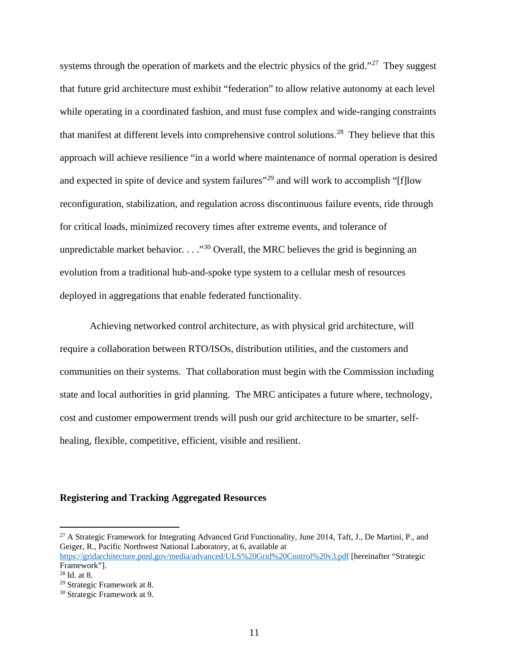systems through the operation of markets and the electric physics of the grid."<sup>27</sup> They suggest that future grid architecture must exhibit "federation" to allow relative autonomy at each level while operating in a coordinated fashion, and must fuse complex and wide-ranging constraints that manifest at different levels into comprehensive control solutions.<sup>28</sup> They believe that this approach will achieve resilience "in a world where maintenance of normal operation is desired and expected in spite of device and system failures<sup>"29</sup> and will work to accomplish "[f]low reconfiguration, stabilization, and regulation across discontinuous failure events, ride through for critical loads, minimized recovery times after extreme events, and tolerance of unpredictable market behavior.  $\ldots$ <sup>30</sup> Overall, the MRC believes the grid is beginning an evolution from a traditional hub-and-spoke type system to a cellular mesh of resources deployed in aggregations that enable federated functionality.

Achieving networked control architecture, as with physical grid architecture, will require a collaboration between RTO/ISOs, distribution utilities, and the customers and communities on their systems. That collaboration must begin with the Commission including state and local authorities in grid planning. The MRC anticipates a future where, technology, cost and customer empowerment trends will push our grid architecture to be smarter, selfhealing, flexible, competitive, efficient, visible and resilient.

#### **Registering and Tracking Aggregated Resources**

<sup>&</sup>lt;sup>27</sup> A Strategic Framework for Integrating Advanced Grid Functionality, June 2014, Taft, J., De Martini, P., and Geiger, R., Pacific Northwest National Laboratory, at 6, available at https://gridarchitecture.pnnl.gov/media/advanced/ULS%20Grid%20Control%20v3.pdf [hereinafter "Strategic

Framework"].

 $28$  Id. at 8.

<sup>29</sup> Strategic Framework at 8.

<sup>30</sup> Strategic Framework at 9.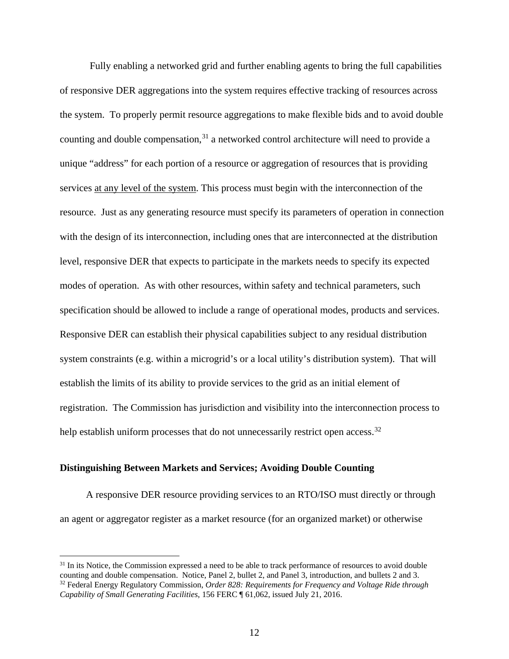Fully enabling a networked grid and further enabling agents to bring the full capabilities of responsive DER aggregations into the system requires effective tracking of resources across the system. To properly permit resource aggregations to make flexible bids and to avoid double counting and double compensation,<sup>31</sup> a networked control architecture will need to provide a unique "address" for each portion of a resource or aggregation of resources that is providing services at any level of the system. This process must begin with the interconnection of the resource. Just as any generating resource must specify its parameters of operation in connection with the design of its interconnection, including ones that are interconnected at the distribution level, responsive DER that expects to participate in the markets needs to specify its expected modes of operation. As with other resources, within safety and technical parameters, such specification should be allowed to include a range of operational modes, products and services. Responsive DER can establish their physical capabilities subject to any residual distribution system constraints (e.g. within a microgrid's or a local utility's distribution system). That will establish the limits of its ability to provide services to the grid as an initial element of registration. The Commission has jurisdiction and visibility into the interconnection process to help establish uniform processes that do not unnecessarily restrict open access.<sup>32</sup>

#### **Distinguishing Between Markets and Services; Avoiding Double Counting**

 $\overline{a}$ 

A responsive DER resource providing services to an RTO/ISO must directly or through an agent or aggregator register as a market resource (for an organized market) or otherwise

<sup>&</sup>lt;sup>31</sup> In its Notice, the Commission expressed a need to be able to track performance of resources to avoid double counting and double compensation. Notice, Panel 2, bullet 2, and Panel 3, introduction, and bullets 2 and 3. <sup>32</sup> Federal Energy Regulatory Commission, *Order 828: Requirements for Frequency and Voltage Ride through Capability of Small Generating Facilities*, 156 FERC ¶ 61,062, issued July 21, 2016.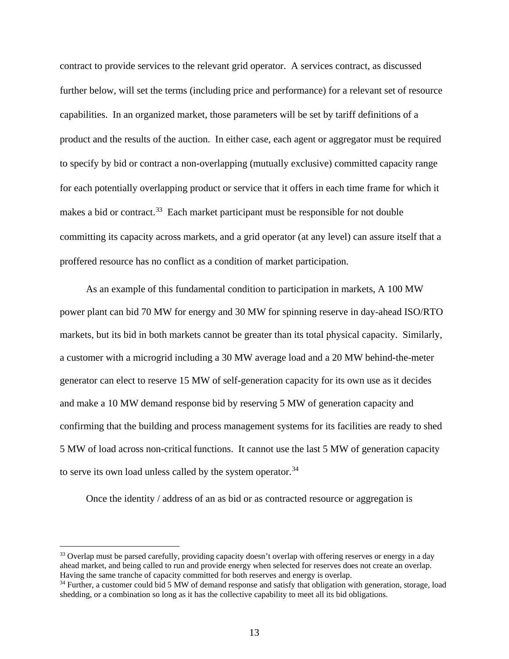contract to provide services to the relevant grid operator. A services contract, as discussed further below, will set the terms (including price and performance) for a relevant set of resource capabilities. In an organized market, those parameters will be set by tariff definitions of a product and the results of the auction. In either case, each agent or aggregator must be required to specify by bid or contract a non-overlapping (mutually exclusive) committed capacity range for each potentially overlapping product or service that it offers in each time frame for which it makes a bid or contract.<sup>33</sup> Each market participant must be responsible for not double committing its capacity across markets, and a grid operator (at any level) can assure itself that a proffered resource has no conflict as a condition of market participation.

As an example of this fundamental condition to participation in markets, A 100 MW power plant can bid 70 MW for energy and 30 MW for spinning reserve in day-ahead ISO/RTO markets, but its bid in both markets cannot be greater than its total physical capacity. Similarly, a customer with a microgrid including a 30 MW average load and a 20 MW behind-the-meter generator can elect to reserve 15 MW of self-generation capacity for its own use as it decides and make a 10 MW demand response bid by reserving 5 MW of generation capacity and confirming that the building and process management systems for its facilities are ready to shed 5 MW of load across non-critical functions. It cannot use the last 5 MW of generation capacity to serve its own load unless called by the system operator.<sup>34</sup>

Once the identity / address of an as bid or as contracted resource or aggregation is

<sup>&</sup>lt;sup>33</sup> Overlap must be parsed carefully, providing capacity doesn't overlap with offering reserves or energy in a day ahead market, and being called to run and provide energy when selected for reserves does not create an overlap. Having the same tranche of capacity committed for both reserves and energy is overlap.

<sup>&</sup>lt;sup>34</sup> Further, a customer could bid 5 MW of demand response and satisfy that obligation with generation, storage, load shedding, or a combination so long as it has the collective capability to meet all its bid obligations.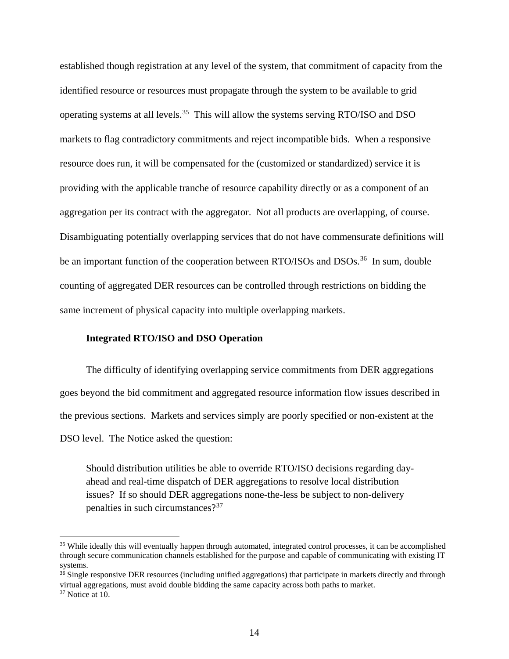established though registration at any level of the system, that commitment of capacity from the identified resource or resources must propagate through the system to be available to grid operating systems at all levels.35 This will allow the systems serving RTO/ISO and DSO markets to flag contradictory commitments and reject incompatible bids. When a responsive resource does run, it will be compensated for the (customized or standardized) service it is providing with the applicable tranche of resource capability directly or as a component of an aggregation per its contract with the aggregator. Not all products are overlapping, of course. Disambiguating potentially overlapping services that do not have commensurate definitions will be an important function of the cooperation between RTO/ISOs and DSOs.<sup>36</sup> In sum, double counting of aggregated DER resources can be controlled through restrictions on bidding the same increment of physical capacity into multiple overlapping markets.

#### **Integrated RTO/ISO and DSO Operation**

The difficulty of identifying overlapping service commitments from DER aggregations goes beyond the bid commitment and aggregated resource information flow issues described in the previous sections. Markets and services simply are poorly specified or non-existent at the DSO level. The Notice asked the question:

Should distribution utilities be able to override RTO/ISO decisions regarding dayahead and real-time dispatch of DER aggregations to resolve local distribution issues? If so should DER aggregations none-the-less be subject to non-delivery penalties in such circumstances?<sup>37</sup>

<sup>&</sup>lt;sup>35</sup> While ideally this will eventually happen through automated, integrated control processes, it can be accomplished through secure communication channels established for the purpose and capable of communicating with existing IT systems.

<sup>&</sup>lt;sup>36</sup> Single responsive DER resources (including unified aggregations) that participate in markets directly and through virtual aggregations, must avoid double bidding the same capacity across both paths to market.

 $37$  Notice at 10.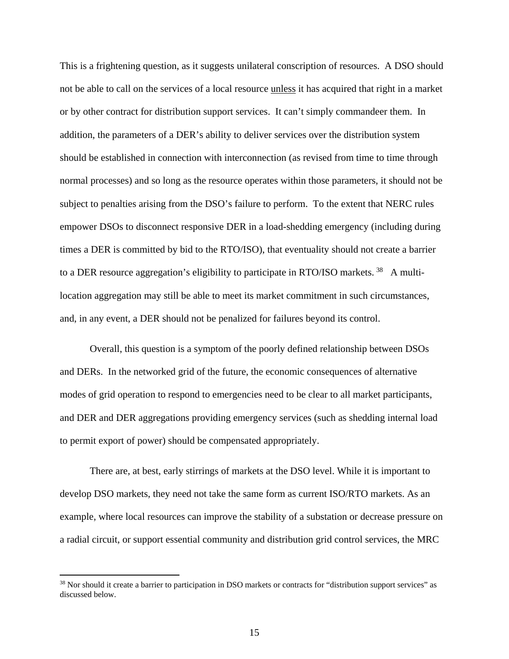This is a frightening question, as it suggests unilateral conscription of resources. A DSO should not be able to call on the services of a local resource unless it has acquired that right in a market or by other contract for distribution support services. It can't simply commandeer them. In addition, the parameters of a DER's ability to deliver services over the distribution system should be established in connection with interconnection (as revised from time to time through normal processes) and so long as the resource operates within those parameters, it should not be subject to penalties arising from the DSO's failure to perform. To the extent that NERC rules empower DSOs to disconnect responsive DER in a load-shedding emergency (including during times a DER is committed by bid to the RTO/ISO), that eventuality should not create a barrier to a DER resource aggregation's eligibility to participate in RTO/ISO markets.<sup>38</sup> A multilocation aggregation may still be able to meet its market commitment in such circumstances, and, in any event, a DER should not be penalized for failures beyond its control.

Overall, this question is a symptom of the poorly defined relationship between DSOs and DERs. In the networked grid of the future, the economic consequences of alternative modes of grid operation to respond to emergencies need to be clear to all market participants, and DER and DER aggregations providing emergency services (such as shedding internal load to permit export of power) should be compensated appropriately.

There are, at best, early stirrings of markets at the DSO level. While it is important to develop DSO markets, they need not take the same form as current ISO/RTO markets. As an example, where local resources can improve the stability of a substation or decrease pressure on a radial circuit, or support essential community and distribution grid control services, the MRC

<sup>&</sup>lt;sup>38</sup> Nor should it create a barrier to participation in DSO markets or contracts for "distribution support services" as discussed below.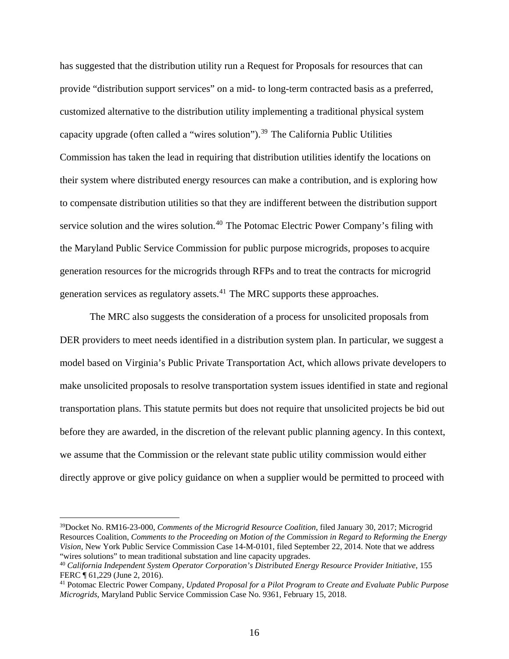has suggested that the distribution utility run a Request for Proposals for resources that can provide "distribution support services" on a mid- to long-term contracted basis as a preferred, customized alternative to the distribution utility implementing a traditional physical system capacity upgrade (often called a "wires solution").<sup>39</sup> The California Public Utilities Commission has taken the lead in requiring that distribution utilities identify the locations on their system where distributed energy resources can make a contribution, and is exploring how to compensate distribution utilities so that they are indifferent between the distribution support service solution and the wires solution.<sup>40</sup> The Potomac Electric Power Company's filing with the Maryland Public Service Commission for public purpose microgrids, proposes to acquire generation resources for the microgrids through RFPs and to treat the contracts for microgrid generation services as regulatory assets. $41$  The MRC supports these approaches.

The MRC also suggests the consideration of a process for unsolicited proposals from DER providers to meet needs identified in a distribution system plan. In particular, we suggest a model based on Virginia's Public Private Transportation Act, which allows private developers to make unsolicited proposals to resolve transportation system issues identified in state and regional transportation plans. This statute permits but does not require that unsolicited projects be bid out before they are awarded, in the discretion of the relevant public planning agency. In this context, we assume that the Commission or the relevant state public utility commission would either directly approve or give policy guidance on when a supplier would be permitted to proceed with

<sup>39</sup>Docket No. RM16-23-000, *Comments of the Microgrid Resource Coalition*, filed January 30, 2017; Microgrid Resources Coalition, *Comments to the Proceeding on Motion of the Commission in Regard to Reforming the Energy Vision*, New York Public Service Commission Case 14-M-0101, filed September 22, 2014. Note that we address "wires solutions" to mean traditional substation and line capacity upgrades. 40 *California Independent System Operator Corporation's Distributed Energy Resource Provider Initiative*, 155

FERC ¶ 61,229 (June 2, 2016).

<sup>41</sup> Potomac Electric Power Company, *Updated Proposal for a Pilot Program to Create and Evaluate Public Purpose Microgrids*, Maryland Public Service Commission Case No. 9361, February 15, 2018.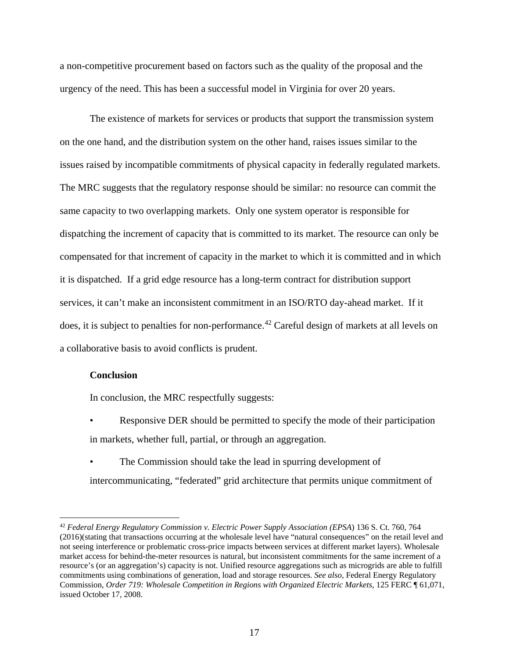a non-competitive procurement based on factors such as the quality of the proposal and the urgency of the need. This has been a successful model in Virginia for over 20 years.

The existence of markets for services or products that support the transmission system on the one hand, and the distribution system on the other hand, raises issues similar to the issues raised by incompatible commitments of physical capacity in federally regulated markets. The MRC suggests that the regulatory response should be similar: no resource can commit the same capacity to two overlapping markets. Only one system operator is responsible for dispatching the increment of capacity that is committed to its market. The resource can only be compensated for that increment of capacity in the market to which it is committed and in which it is dispatched. If a grid edge resource has a long-term contract for distribution support services, it can't make an inconsistent commitment in an ISO/RTO day-ahead market. If it does, it is subject to penalties for non-performance.<sup>42</sup> Careful design of markets at all levels on a collaborative basis to avoid conflicts is prudent.

## **Conclusion**

 $\overline{a}$ 

In conclusion, the MRC respectfully suggests:

- Responsive DER should be permitted to specify the mode of their participation in markets, whether full, partial, or through an aggregation.
- The Commission should take the lead in spurring development of intercommunicating, "federated" grid architecture that permits unique commitment of

<sup>42</sup> *Federal Energy Regulatory Commission v. Electric Power Supply Association (EPSA*) 136 S. Ct. 760, 764 (2016)(stating that transactions occurring at the wholesale level have "natural consequences" on the retail level and not seeing interference or problematic cross-price impacts between services at different market layers). Wholesale market access for behind-the-meter resources is natural, but inconsistent commitments for the same increment of a resource's (or an aggregation's) capacity is not. Unified resource aggregations such as microgrids are able to fulfill commitments using combinations of generation, load and storage resources. *See also*, Federal Energy Regulatory Commission, *Order 719: Wholesale Competition in Regions with Organized Electric Markets*, 125 FERC ¶ 61,071, issued October 17, 2008.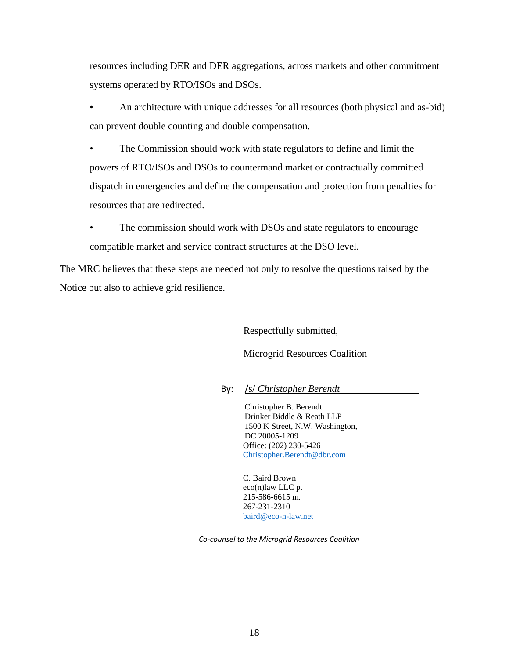resources including DER and DER aggregations, across markets and other commitment systems operated by RTO/ISOs and DSOs.

• An architecture with unique addresses for all resources (both physical and as-bid) can prevent double counting and double compensation.

• The Commission should work with state regulators to define and limit the powers of RTO/ISOs and DSOs to countermand market or contractually committed dispatch in emergencies and define the compensation and protection from penalties for resources that are redirected.

The commission should work with DSOs and state regulators to encourage compatible market and service contract structures at the DSO level.

The MRC believes that these steps are needed not only to resolve the questions raised by the Notice but also to achieve grid resilience.

Respectfully submitted,

Microgrid Resources Coalition

By: /s/ *Christopher Berendt*

Christopher B. Berendt Drinker Biddle & Reath LLP 1500 K Street, N.W. Washington, DC 20005-1209 Office: (202) 230-5426 Christopher.Berendt@dbr.com

C. Baird Brown eco(n)law LLC p. 215-586-6615 m. 267-231-2310 baird@eco-n-law.net

*Co-counsel to the Microgrid Resources Coalition*